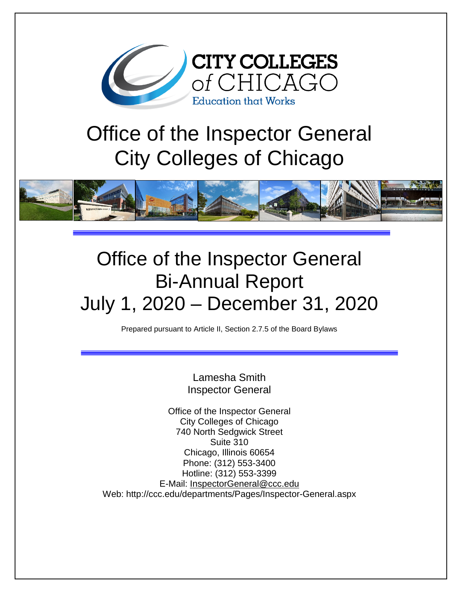

# Office of the Inspector General City Colleges of Chicago



## Office of the Inspector General Bi-Annual Report July 1, 2020 – December 31, 2020

Prepared pursuant to Article II, Section 2.7.5 of the Board Bylaws

Lamesha Smith Inspector General

Office of the Inspector General City Colleges of Chicago 740 North Sedgwick Street Suite 310 Chicago, Illinois 60654 Phone: (312) 553-3400 Hotline: (312) 553-3399 E-Mail: [InspectorGeneral@ccc.edu](mailto:InspectorGeneral@ccc.edu) Web: http://ccc.edu/departments/Pages/Inspector-General.aspx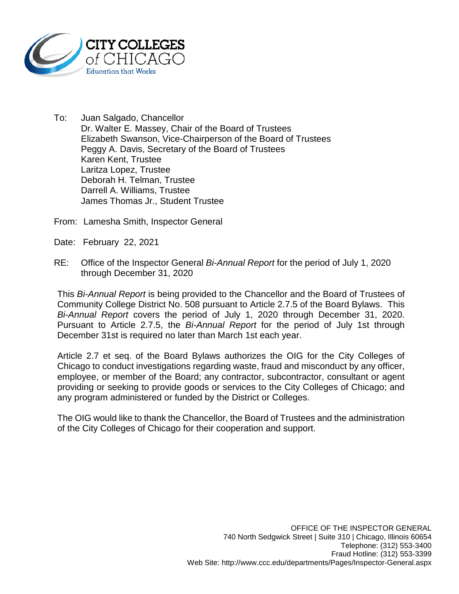

To: Juan Salgado, Chancellor Dr. Walter E. Massey, Chair of the Board of Trustees Elizabeth Swanson, Vice-Chairperson of the Board of Trustees Peggy A. Davis, Secretary of the Board of Trustees Karen Kent, Trustee Laritza Lopez, Trustee Deborah H. Telman, Trustee Darrell A. Williams, Trustee James Thomas Jr., Student Trustee

From: Lamesha Smith, Inspector General

- Date: February 22, 2021
- RE: Office of the Inspector General *Bi-Annual Report* for the period of July 1, 2020 through December 31, 2020

This *Bi-Annual Report* is being provided to the Chancellor and the Board of Trustees of Community College District No. 508 pursuant to Article 2.7.5 of the Board Bylaws. This *Bi-Annual Report* covers the period of July 1, 2020 through December 31, 2020. Pursuant to Article 2.7.5, the *Bi-Annual Report* for the period of July 1st through December 31st is required no later than March 1st each year.

Article 2.7 et seq. of the Board Bylaws authorizes the OIG for the City Colleges of Chicago to conduct investigations regarding waste, fraud and misconduct by any officer, employee, or member of the Board; any contractor, subcontractor, consultant or agent providing or seeking to provide goods or services to the City Colleges of Chicago; and any program administered or funded by the District or Colleges.

The OIG would like to thank the Chancellor, the Board of Trustees and the administration of the City Colleges of Chicago for their cooperation and support.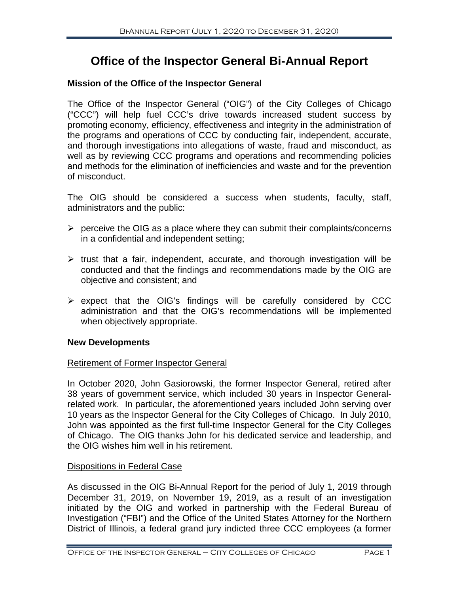### **Office of the Inspector General Bi-Annual Report**

#### **Mission of the Office of the Inspector General**

The Office of the Inspector General ("OIG") of the City Colleges of Chicago ("CCC") will help fuel CCC's drive towards increased student success by promoting economy, efficiency, effectiveness and integrity in the administration of the programs and operations of CCC by conducting fair, independent, accurate, and thorough investigations into allegations of waste, fraud and misconduct, as well as by reviewing CCC programs and operations and recommending policies and methods for the elimination of inefficiencies and waste and for the prevention of misconduct.

The OIG should be considered a success when students, faculty, staff, administrators and the public:

- $\triangleright$  perceive the OIG as a place where they can submit their complaints/concerns in a confidential and independent setting;
- $\triangleright$  trust that a fair, independent, accurate, and thorough investigation will be conducted and that the findings and recommendations made by the OIG are objective and consistent; and
- $\triangleright$  expect that the OIG's findings will be carefully considered by CCC administration and that the OIG's recommendations will be implemented when objectively appropriate.

#### **New Developments**

#### Retirement of Former Inspector General

In October 2020, John Gasiorowski, the former Inspector General, retired after 38 years of government service, which included 30 years in Inspector Generalrelated work. In particular, the aforementioned years included John serving over 10 years as the Inspector General for the City Colleges of Chicago. In July 2010, John was appointed as the first full-time Inspector General for the City Colleges of Chicago. The OIG thanks John for his dedicated service and leadership, and the OIG wishes him well in his retirement.

#### Dispositions in Federal Case

As discussed in the OIG Bi-Annual Report for the period of July 1, 2019 through December 31, 2019, on November 19, 2019, as a result of an investigation initiated by the OIG and worked in partnership with the Federal Bureau of Investigation ("FBI") and the Office of the United States Attorney for the Northern District of Illinois, a federal grand jury indicted three CCC employees (a former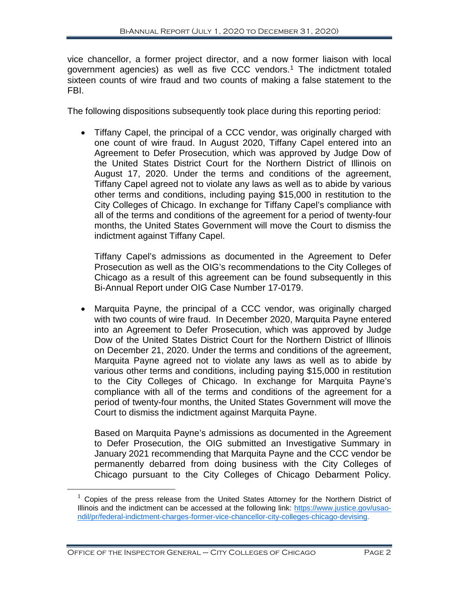vice chancellor, a former project director, and a now former liaison with local government agencies) as well as five CCC vendors. [1](#page-3-0) The indictment totaled sixteen counts of wire fraud and two counts of making a false statement to the FBI.

The following dispositions subsequently took place during this reporting period:

• Tiffany Capel, the principal of a CCC vendor, was originally charged with one count of wire fraud. In August 2020, Tiffany Capel entered into an Agreement to Defer Prosecution, which was approved by Judge Dow of the United States District Court for the Northern District of Illinois on August 17, 2020. Under the terms and conditions of the agreement, Tiffany Capel agreed not to violate any laws as well as to abide by various other terms and conditions, including paying \$15,000 in restitution to the City Colleges of Chicago. In exchange for Tiffany Capel's compliance with all of the terms and conditions of the agreement for a period of twenty-four months, the United States Government will move the Court to dismiss the indictment against Tiffany Capel.

Tiffany Capel's admissions as documented in the Agreement to Defer Prosecution as well as the OIG's recommendations to the City Colleges of Chicago as a result of this agreement can be found subsequently in this Bi-Annual Report under OIG Case Number 17-0179.

• Marquita Payne, the principal of a CCC vendor, was originally charged with two counts of wire fraud. In December 2020, Marquita Payne entered into an Agreement to Defer Prosecution, which was approved by Judge Dow of the United States District Court for the Northern District of Illinois on December 21, 2020. Under the terms and conditions of the agreement, Marquita Payne agreed not to violate any laws as well as to abide by various other terms and conditions, including paying \$15,000 in restitution to the City Colleges of Chicago. In exchange for Marquita Payne's compliance with all of the terms and conditions of the agreement for a period of twenty-four months, the United States Government will move the Court to dismiss the indictment against Marquita Payne.

Based on Marquita Payne's admissions as documented in the Agreement to Defer Prosecution, the OIG submitted an Investigative Summary in January 2021 recommending that Marquita Payne and the CCC vendor be permanently debarred from doing business with the City Colleges of Chicago pursuant to the City Colleges of Chicago Debarment Policy.

<span id="page-3-0"></span> $1$  Copies of the press release from the United States Attorney for the Northern District of Illinois and the indictment can be accessed at the following link: [https://www.justice.gov/usao](https://www.justice.gov/usao-ndil/pr/federal-indictment-charges-former-vice-chancellor-city-colleges-chicago-devising)[ndil/pr/federal-indictment-charges-former-vice-chancellor-city-colleges-chicago-devising.](https://www.justice.gov/usao-ndil/pr/federal-indictment-charges-former-vice-chancellor-city-colleges-chicago-devising)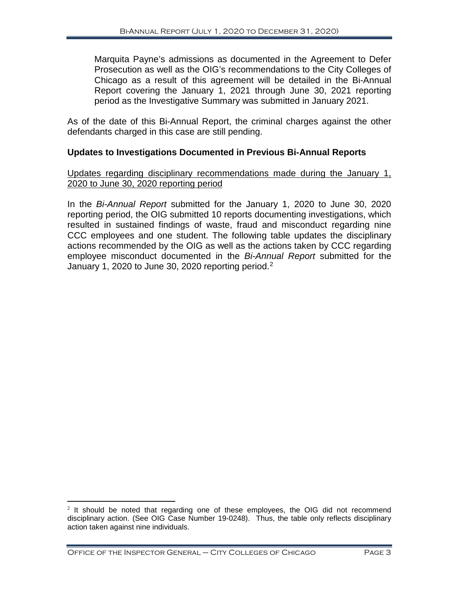Marquita Payne's admissions as documented in the Agreement to Defer Prosecution as well as the OIG's recommendations to the City Colleges of Chicago as a result of this agreement will be detailed in the Bi-Annual Report covering the January 1, 2021 through June 30, 2021 reporting period as the Investigative Summary was submitted in January 2021.

As of the date of this Bi-Annual Report, the criminal charges against the other defendants charged in this case are still pending.

#### **Updates to Investigations Documented in Previous Bi-Annual Reports**

#### Updates regarding disciplinary recommendations made during the January 1, 2020 to June 30, 2020 reporting period

In the *Bi-Annual Report* submitted for the January 1, 2020 to June 30, 2020 reporting period, the OIG submitted 10 reports documenting investigations, which resulted in sustained findings of waste, fraud and misconduct regarding nine CCC employees and one student. The following table updates the disciplinary actions recommended by the OIG as well as the actions taken by CCC regarding employee misconduct documented in the *Bi-Annual Report* submitted for the January 1, [2](#page-4-0)020 to June 30, 2020 reporting period.<sup>2</sup>

<span id="page-4-0"></span> $2$  It should be noted that regarding one of these employees, the OIG did not recommend disciplinary action. (See OIG Case Number 19-0248). Thus, the table only reflects disciplinary action taken against nine individuals.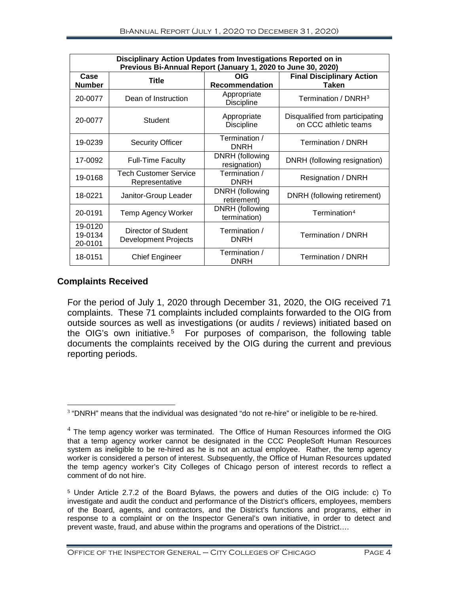| Disciplinary Action Updates from Investigations Reported on in<br>Previous Bi-Annual Report (January 1, 2020 to June 30, 2020) |                                                    |                                     |                                                          |  |  |  |  |  |
|--------------------------------------------------------------------------------------------------------------------------------|----------------------------------------------------|-------------------------------------|----------------------------------------------------------|--|--|--|--|--|
| Case<br><b>Number</b>                                                                                                          | <b>Title</b>                                       | <b>OIG</b><br><b>Recommendation</b> | <b>Final Disciplinary Action</b><br><b>Taken</b>         |  |  |  |  |  |
| 20-0077                                                                                                                        | Dean of Instruction                                | Appropriate<br><b>Discipline</b>    | Termination / DNRH <sup>3</sup>                          |  |  |  |  |  |
| 20-0077                                                                                                                        | Student                                            | Appropriate<br><b>Discipline</b>    | Disqualified from participating<br>on CCC athletic teams |  |  |  |  |  |
| 19-0239                                                                                                                        | <b>Security Officer</b>                            | Termination /<br><b>DNRH</b>        | Termination / DNRH                                       |  |  |  |  |  |
| 17-0092                                                                                                                        | <b>Full-Time Faculty</b>                           | DNRH (following<br>resignation)     | DNRH (following resignation)                             |  |  |  |  |  |
| 19-0168                                                                                                                        | <b>Tech Customer Service</b><br>Representative     | Termination /<br><b>DNRH</b>        | Resignation / DNRH                                       |  |  |  |  |  |
| 18-0221                                                                                                                        | Janitor-Group Leader                               | DNRH (following<br>retirement)      | DNRH (following retirement)                              |  |  |  |  |  |
| 20-0191                                                                                                                        | Temp Agency Worker                                 | DNRH (following<br>termination)     | Termination <sup>4</sup>                                 |  |  |  |  |  |
| 19-0120<br>19-0134<br>20-0101                                                                                                  | Director of Student<br><b>Development Projects</b> | Termination /<br><b>DNRH</b>        | Termination / DNRH                                       |  |  |  |  |  |
| 18-0151                                                                                                                        | <b>Chief Engineer</b>                              | Termination /<br><b>DNRH</b>        | Termination / DNRH                                       |  |  |  |  |  |

#### **Complaints Received**

For the period of July 1, 2020 through December 31, 2020, the OIG received 71 complaints. These 71 complaints included complaints forwarded to the OIG from outside sources as well as investigations (or audits / reviews) initiated based on the OIG's own initiative.<sup>[5](#page-5-2)</sup> For purposes of comparison, the following table documents the complaints received by the OIG during the current and previous reporting periods.

<span id="page-5-0"></span> $3$  "DNRH" means that the individual was designated "do not re-hire" or ineligible to be re-hired.

<span id="page-5-1"></span> $4$  The temp agency worker was terminated. The Office of Human Resources informed the OIG that a temp agency worker cannot be designated in the CCC PeopleSoft Human Resources system as ineligible to be re-hired as he is not an actual employee. Rather, the temp agency worker is considered a person of interest. Subsequently, the Office of Human Resources updated the temp agency worker's City Colleges of Chicago person of interest records to reflect a comment of do not hire.

<span id="page-5-2"></span><sup>5</sup> Under Article 2.7.2 of the Board Bylaws, the powers and duties of the OIG include: c) To investigate and audit the conduct and performance of the District's officers, employees, members of the Board, agents, and contractors, and the District's functions and programs, either in response to a complaint or on the Inspector General's own initiative, in order to detect and prevent waste, fraud, and abuse within the programs and operations of the District….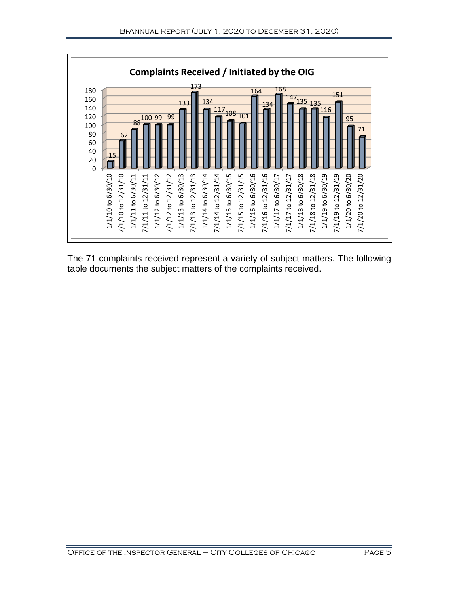

The 71 complaints received represent a variety of subject matters. The following table documents the subject matters of the complaints received.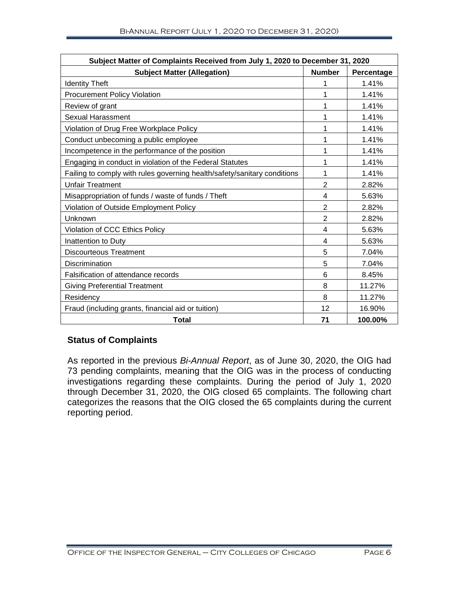| Subject Matter of Complaints Received from July 1, 2020 to December 31, 2020 |                |            |  |  |  |
|------------------------------------------------------------------------------|----------------|------------|--|--|--|
| <b>Subject Matter (Allegation)</b>                                           | <b>Number</b>  | Percentage |  |  |  |
| <b>Identity Theft</b>                                                        | 1              | 1.41%      |  |  |  |
| <b>Procurement Policy Violation</b>                                          | 1              | 1.41%      |  |  |  |
| Review of grant                                                              | 1              | 1.41%      |  |  |  |
| <b>Sexual Harassment</b>                                                     | 1              | 1.41%      |  |  |  |
| Violation of Drug Free Workplace Policy                                      | 1              | 1.41%      |  |  |  |
| Conduct unbecoming a public employee                                         | 1              | 1.41%      |  |  |  |
| Incompetence in the performance of the position                              | 1              | 1.41%      |  |  |  |
| Engaging in conduct in violation of the Federal Statutes                     | 1              | 1.41%      |  |  |  |
| Failing to comply with rules governing health/safety/sanitary conditions     | 1              | 1.41%      |  |  |  |
| <b>Unfair Treatment</b>                                                      | 2              | 2.82%      |  |  |  |
| Misappropriation of funds / waste of funds / Theft                           |                | 5.63%      |  |  |  |
| Violation of Outside Employment Policy                                       |                | 2.82%      |  |  |  |
| Unknown                                                                      | $\overline{2}$ | 2.82%      |  |  |  |
| Violation of CCC Ethics Policy                                               | $\overline{4}$ | 5.63%      |  |  |  |
| Inattention to Duty                                                          | $\overline{4}$ | 5.63%      |  |  |  |
| Discourteous Treatment                                                       | 5              | 7.04%      |  |  |  |
| Discrimination                                                               | 5              | 7.04%      |  |  |  |
| Falsification of attendance records                                          | 6              | 8.45%      |  |  |  |
| <b>Giving Preferential Treatment</b>                                         | 8              | 11.27%     |  |  |  |
| Residency                                                                    | 8              | 11.27%     |  |  |  |
| Fraud (including grants, financial aid or tuition)                           | 12             | 16.90%     |  |  |  |
| <b>Total</b>                                                                 | 71             | 100.00%    |  |  |  |

#### **Status of Complaints**

As reported in the previous *Bi-Annual Report*, as of June 30, 2020, the OIG had 73 pending complaints, meaning that the OIG was in the process of conducting investigations regarding these complaints. During the period of July 1, 2020 through December 31, 2020, the OIG closed 65 complaints. The following chart categorizes the reasons that the OIG closed the 65 complaints during the current reporting period.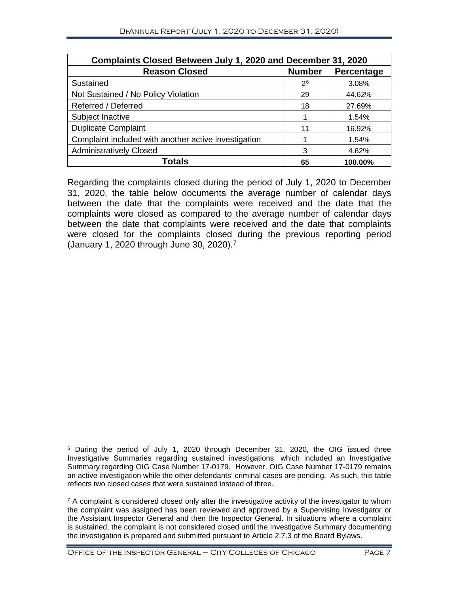| Complaints Closed Between July 1, 2020 and December 31, 2020 |               |            |  |  |  |
|--------------------------------------------------------------|---------------|------------|--|--|--|
| <b>Reason Closed</b>                                         | <b>Number</b> | Percentage |  |  |  |
| Sustained                                                    | 26            | 3.08%      |  |  |  |
| Not Sustained / No Policy Violation                          | 29            | 44.62%     |  |  |  |
| Referred / Deferred                                          | 18            | 27.69%     |  |  |  |
| Subject Inactive                                             |               | 1.54%      |  |  |  |
| <b>Duplicate Complaint</b>                                   | 11            | 16.92%     |  |  |  |
| Complaint included with another active investigation         |               | 1.54%      |  |  |  |
| <b>Administratively Closed</b>                               | 3             | 4.62%      |  |  |  |
| Totals                                                       | 65            | 100.00%    |  |  |  |

Regarding the complaints closed during the period of July 1, 2020 to December 31, 2020, the table below documents the average number of calendar days between the date that the complaints were received and the date that the complaints were closed as compared to the average number of calendar days between the date that complaints were received and the date that complaints were closed for the complaints closed during the previous reporting period (January 1, 2020 through June 30, 2020). [7](#page-8-1)

Office of the Inspector General – City Colleges of Chicago Page 7

<span id="page-8-0"></span> $\overline{a}$ <sup>6</sup> During the period of July 1, 2020 through December 31, 2020, the OIG issued three Investigative Summaries regarding sustained investigations, which included an Investigative Summary regarding OIG Case Number 17-0179. However, OIG Case Number 17-0179 remains an active investigation while the other defendants' criminal cases are pending. As such, this table reflects two closed cases that were sustained instead of three.

<span id="page-8-1"></span> $7$  A complaint is considered closed only after the investigative activity of the investigator to whom the complaint was assigned has been reviewed and approved by a Supervising Investigator or the Assistant Inspector General and then the Inspector General. In situations where a complaint is sustained, the complaint is not considered closed until the Investigative Summary documenting the investigation is prepared and submitted pursuant to Article 2.7.3 of the Board Bylaws.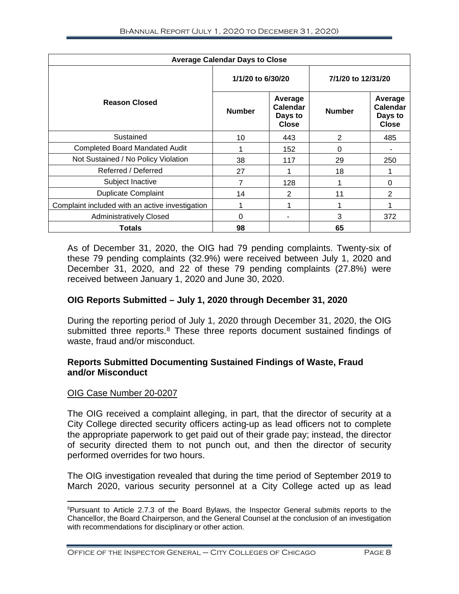| <b>Average Calendar Days to Close</b>           |                   |                                                |                    |                                                |  |  |  |  |
|-------------------------------------------------|-------------------|------------------------------------------------|--------------------|------------------------------------------------|--|--|--|--|
|                                                 | 1/1/20 to 6/30/20 |                                                | 7/1/20 to 12/31/20 |                                                |  |  |  |  |
| <b>Reason Closed</b>                            | <b>Number</b>     | Average<br>Calendar<br>Days to<br><b>Close</b> | <b>Number</b>      | Average<br>Calendar<br>Days to<br><b>Close</b> |  |  |  |  |
| Sustained                                       | 10                | 443                                            | 2                  | 485                                            |  |  |  |  |
| <b>Completed Board Mandated Audit</b>           |                   | 152                                            | 0                  |                                                |  |  |  |  |
| Not Sustained / No Policy Violation             | 38                | 117                                            | 29                 | 250                                            |  |  |  |  |
| Referred / Deferred                             | 27                |                                                | 18                 |                                                |  |  |  |  |
| Subject Inactive                                | 7                 | 128                                            |                    | 0                                              |  |  |  |  |
| <b>Duplicate Complaint</b>                      | 14                | 2                                              | 11                 | 2                                              |  |  |  |  |
| Complaint included with an active investigation |                   |                                                | 1                  |                                                |  |  |  |  |
| <b>Administratively Closed</b>                  | 0                 |                                                | 3                  | 372                                            |  |  |  |  |
| <b>Totals</b>                                   | 98                |                                                | 65                 |                                                |  |  |  |  |

As of December 31, 2020, the OIG had 79 pending complaints. Twenty-six of these 79 pending complaints (32.9%) were received between July 1, 2020 and December 31, 2020, and 22 of these 79 pending complaints (27.8%) were received between January 1, 2020 and June 30, 2020.

#### **OIG Reports Submitted – July 1, 2020 through December 31, 2020**

During the reporting period of July 1, 2020 through December 31, 2020, the OIG submitted three reports.<sup>[8](#page-9-0)</sup> These three reports document sustained findings of waste, fraud and/or misconduct.

#### **Reports Submitted Documenting Sustained Findings of Waste, Fraud and/or Misconduct**

#### OIG Case Number 20-0207

The OIG received a complaint alleging, in part, that the director of security at a City College directed security officers acting-up as lead officers not to complete the appropriate paperwork to get paid out of their grade pay; instead, the director of security directed them to not punch out, and then the director of security performed overrides for two hours.

The OIG investigation revealed that during the time period of September 2019 to March 2020, various security personnel at a City College acted up as lead

<span id="page-9-0"></span> $\frac{1}{8}$ Pursuant to Article 2.7.3 of the Board Bylaws, the Inspector General submits reports to the Chancellor, the Board Chairperson, and the General Counsel at the conclusion of an investigation with recommendations for disciplinary or other action.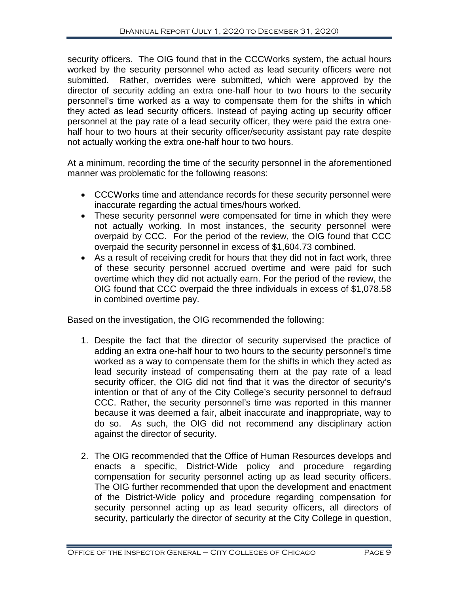security officers. The OIG found that in the CCCWorks system, the actual hours worked by the security personnel who acted as lead security officers were not submitted. Rather, overrides were submitted, which were approved by the director of security adding an extra one-half hour to two hours to the security personnel's time worked as a way to compensate them for the shifts in which they acted as lead security officers. Instead of paying acting up security officer personnel at the pay rate of a lead security officer, they were paid the extra onehalf hour to two hours at their security officer/security assistant pay rate despite not actually working the extra one-half hour to two hours.

At a minimum, recording the time of the security personnel in the aforementioned manner was problematic for the following reasons:

- CCCWorks time and attendance records for these security personnel were inaccurate regarding the actual times/hours worked.
- These security personnel were compensated for time in which they were not actually working. In most instances, the security personnel were overpaid by CCC. For the period of the review, the OIG found that CCC overpaid the security personnel in excess of \$1,604.73 combined.
- As a result of receiving credit for hours that they did not in fact work, three of these security personnel accrued overtime and were paid for such overtime which they did not actually earn. For the period of the review, the OIG found that CCC overpaid the three individuals in excess of \$1,078.58 in combined overtime pay.

Based on the investigation, the OIG recommended the following:

- 1. Despite the fact that the director of security supervised the practice of adding an extra one-half hour to two hours to the security personnel's time worked as a way to compensate them for the shifts in which they acted as lead security instead of compensating them at the pay rate of a lead security officer, the OIG did not find that it was the director of security's intention or that of any of the City College's security personnel to defraud CCC. Rather, the security personnel's time was reported in this manner because it was deemed a fair, albeit inaccurate and inappropriate, way to do so. As such, the OIG did not recommend any disciplinary action against the director of security.
- 2. The OIG recommended that the Office of Human Resources develops and enacts a specific, District-Wide policy and procedure regarding compensation for security personnel acting up as lead security officers. The OIG further recommended that upon the development and enactment of the District-Wide policy and procedure regarding compensation for security personnel acting up as lead security officers, all directors of security, particularly the director of security at the City College in question,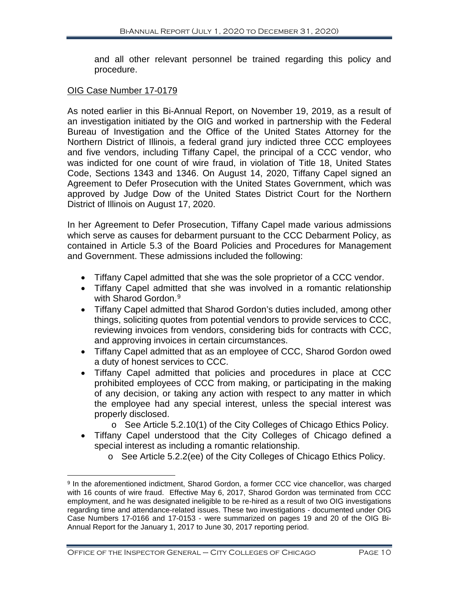and all other relevant personnel be trained regarding this policy and procedure.

#### OIG Case Number 17-0179

As noted earlier in this Bi-Annual Report, on November 19, 2019, as a result of an investigation initiated by the OIG and worked in partnership with the Federal Bureau of Investigation and the Office of the United States Attorney for the Northern District of Illinois, a federal grand jury indicted three CCC employees and five vendors, including Tiffany Capel, the principal of a CCC vendor, who was indicted for one count of wire fraud, in violation of Title 18, United States Code, Sections 1343 and 1346. On August 14, 2020, Tiffany Capel signed an Agreement to Defer Prosecution with the United States Government, which was approved by Judge Dow of the United States District Court for the Northern District of Illinois on August 17, 2020.

In her Agreement to Defer Prosecution, Tiffany Capel made various admissions which serve as causes for debarment pursuant to the CCC Debarment Policy, as contained in Article 5.3 of the Board Policies and Procedures for Management and Government. These admissions included the following:

- Tiffany Capel admitted that she was the sole proprietor of a CCC vendor.
- Tiffany Capel admitted that she was involved in a romantic relationship with Sharod Gordon.<sup>[9](#page-11-0)</sup>
- Tiffany Capel admitted that Sharod Gordon's duties included, among other things, soliciting quotes from potential vendors to provide services to CCC, reviewing invoices from vendors, considering bids for contracts with CCC, and approving invoices in certain circumstances.
- Tiffany Capel admitted that as an employee of CCC, Sharod Gordon owed a duty of honest services to CCC.
- Tiffany Capel admitted that policies and procedures in place at CCC prohibited employees of CCC from making, or participating in the making of any decision, or taking any action with respect to any matter in which the employee had any special interest, unless the special interest was properly disclosed.
	- o See Article 5.2.10(1) of the City Colleges of Chicago Ethics Policy.
- Tiffany Capel understood that the City Colleges of Chicago defined a special interest as including a romantic relationship.
	- o See Article 5.2.2(ee) of the City Colleges of Chicago Ethics Policy.

<span id="page-11-0"></span> $\overline{a}$ <sup>9</sup> In the aforementioned indictment, Sharod Gordon, a former CCC vice chancellor, was charged with 16 counts of wire fraud. Effective May 6, 2017, Sharod Gordon was terminated from CCC employment, and he was designated ineligible to be re-hired as a result of two OIG investigations regarding time and attendance-related issues. These two investigations - documented under OIG Case Numbers 17-0166 and 17-0153 - were summarized on pages 19 and 20 of the OIG Bi-Annual Report for the January 1, 2017 to June 30, 2017 reporting period.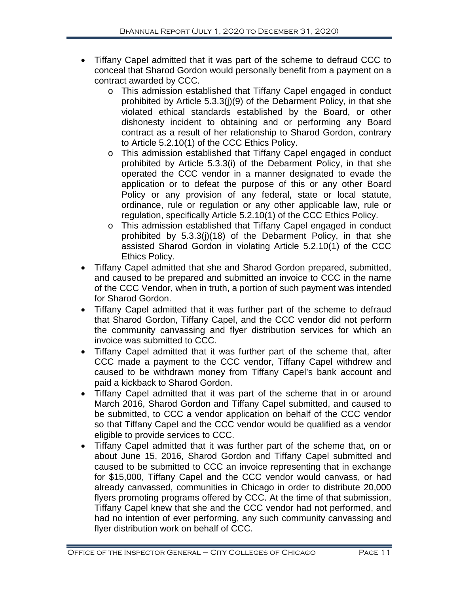- Tiffany Capel admitted that it was part of the scheme to defraud CCC to conceal that Sharod Gordon would personally benefit from a payment on a contract awarded by CCC.
	- o This admission established that Tiffany Capel engaged in conduct prohibited by Article 5.3.3(j)(9) of the Debarment Policy, in that she violated ethical standards established by the Board, or other dishonesty incident to obtaining and or performing any Board contract as a result of her relationship to Sharod Gordon, contrary to Article 5.2.10(1) of the CCC Ethics Policy.
	- o This admission established that Tiffany Capel engaged in conduct prohibited by Article 5.3.3(i) of the Debarment Policy, in that she operated the CCC vendor in a manner designated to evade the application or to defeat the purpose of this or any other Board Policy or any provision of any federal, state or local statute, ordinance, rule or regulation or any other applicable law, rule or regulation, specifically Article 5.2.10(1) of the CCC Ethics Policy.
	- o This admission established that Tiffany Capel engaged in conduct prohibited by 5.3.3(j)(18) of the Debarment Policy, in that she assisted Sharod Gordon in violating Article 5.2.10(1) of the CCC Ethics Policy.
- Tiffany Capel admitted that she and Sharod Gordon prepared, submitted, and caused to be prepared and submitted an invoice to CCC in the name of the CCC Vendor, when in truth, a portion of such payment was intended for Sharod Gordon.
- Tiffany Capel admitted that it was further part of the scheme to defraud that Sharod Gordon, Tiffany Capel, and the CCC vendor did not perform the community canvassing and flyer distribution services for which an invoice was submitted to CCC.
- Tiffany Capel admitted that it was further part of the scheme that, after CCC made a payment to the CCC vendor, Tiffany Capel withdrew and caused to be withdrawn money from Tiffany Capel's bank account and paid a kickback to Sharod Gordon.
- Tiffany Capel admitted that it was part of the scheme that in or around March 2016, Sharod Gordon and Tiffany Capel submitted, and caused to be submitted, to CCC a vendor application on behalf of the CCC vendor so that Tiffany Capel and the CCC vendor would be qualified as a vendor eligible to provide services to CCC.
- Tiffany Capel admitted that it was further part of the scheme that, on or about June 15, 2016, Sharod Gordon and Tiffany Capel submitted and caused to be submitted to CCC an invoice representing that in exchange for \$15,000, Tiffany Capel and the CCC vendor would canvass, or had already canvassed, communities in Chicago in order to distribute 20,000 flyers promoting programs offered by CCC. At the time of that submission, Tiffany Capel knew that she and the CCC vendor had not performed, and had no intention of ever performing, any such community canvassing and flyer distribution work on behalf of CCC.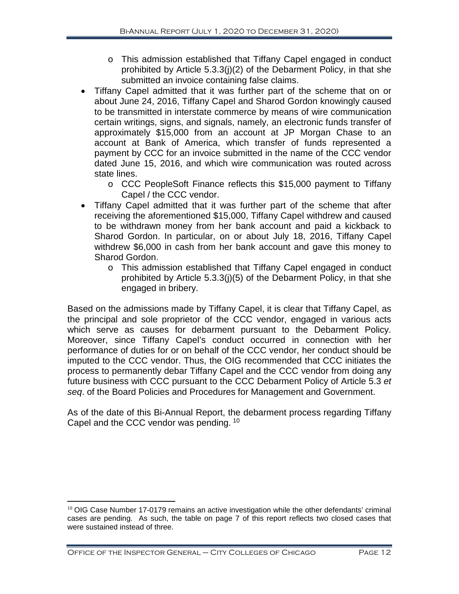- o This admission established that Tiffany Capel engaged in conduct prohibited by Article 5.3.3(j)(2) of the Debarment Policy, in that she submitted an invoice containing false claims.
- Tiffany Capel admitted that it was further part of the scheme that on or about June 24, 2016, Tiffany Capel and Sharod Gordon knowingly caused to be transmitted in interstate commerce by means of wire communication certain writings, signs, and signals, namely, an electronic funds transfer of approximately \$15,000 from an account at JP Morgan Chase to an account at Bank of America, which transfer of funds represented a payment by CCC for an invoice submitted in the name of the CCC vendor dated June 15, 2016, and which wire communication was routed across state lines.
	- o CCC PeopleSoft Finance reflects this \$15,000 payment to Tiffany Capel / the CCC vendor.
- Tiffany Capel admitted that it was further part of the scheme that after receiving the aforementioned \$15,000, Tiffany Capel withdrew and caused to be withdrawn money from her bank account and paid a kickback to Sharod Gordon. In particular, on or about July 18, 2016, Tiffany Capel withdrew \$6,000 in cash from her bank account and gave this money to Sharod Gordon.
	- o This admission established that Tiffany Capel engaged in conduct prohibited by Article 5.3.3(j)(5) of the Debarment Policy, in that she engaged in bribery.

Based on the admissions made by Tiffany Capel, it is clear that Tiffany Capel, as the principal and sole proprietor of the CCC vendor, engaged in various acts which serve as causes for debarment pursuant to the Debarment Policy. Moreover, since Tiffany Capel's conduct occurred in connection with her performance of duties for or on behalf of the CCC vendor, her conduct should be imputed to the CCC vendor. Thus, the OIG recommended that CCC initiates the process to permanently debar Tiffany Capel and the CCC vendor from doing any future business with CCC pursuant to the CCC Debarment Policy of Article 5.3 *et seq*. of the Board Policies and Procedures for Management and Government.

As of the date of this Bi-Annual Report, the debarment process regarding Tiffany Capel and the CCC vendor was pending. [10](#page-13-0)

<span id="page-13-0"></span> $10$  OIG Case Number 17-0179 remains an active investigation while the other defendants' criminal cases are pending. As such, the table on page 7 of this report reflects two closed cases that were sustained instead of three.